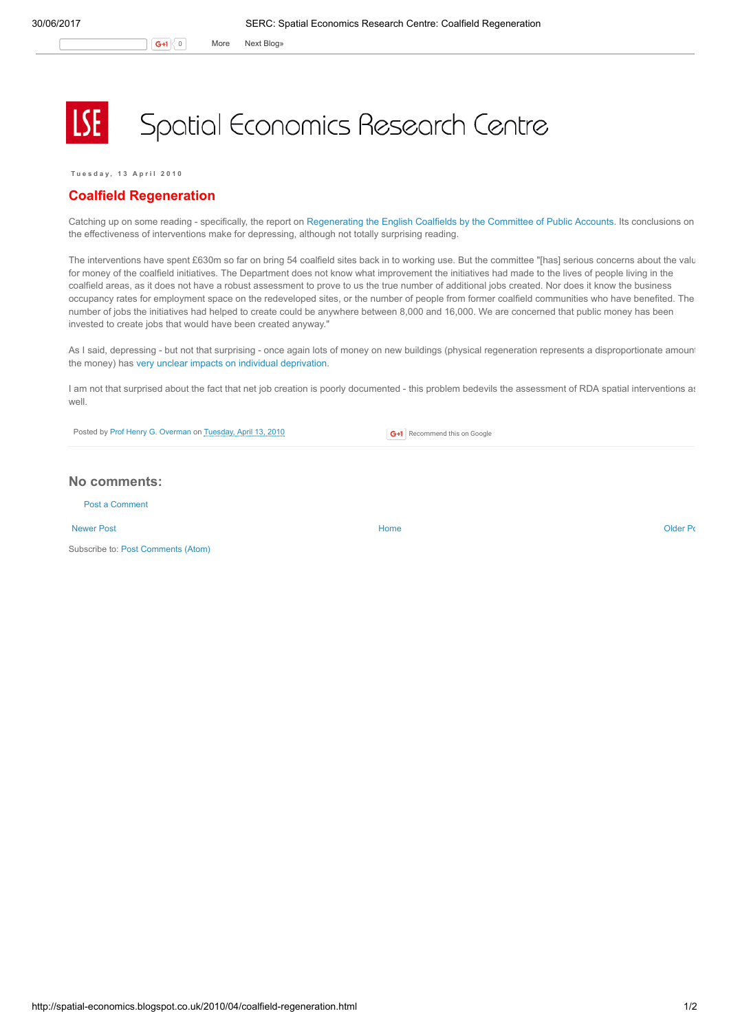Spatial Economics Research Centre

Tuesday, 13 April 2010

## Coalfield Regeneration

Catching up on some reading - specifically, the report on [Regenerating](http://www.parliament.the-stationery-office.co.uk/pa/cm200910/cmselect/cmpubacc/247/247.pdf) the English Coalfields by the Committee of Public Accounts. Its conclusions on the effectiveness of interventions make for depressing, although not totally surprising reading.

The interventions have spent £630m so far on bring 54 coalfield sites back in to working use. But the committee "[has] serious concerns about the valu for money of the coalfield initiatives. The Department does not know what improvement the initiatives had made to the lives of people living in the coalfield areas, as it does not have a robust assessment to prove to us the true number of additional jobs created. Nor does it know the business occupancy rates for employment space on the redeveloped sites, or the number of people from former coalfield communities who have benefited. The number of jobs the initiatives had helped to create could be anywhere between 8,000 and 16,000. We are concerned that public money has been invested to create jobs that would have been created anyway."

As I said, depressing - but not that surprising - once again lots of money on new buildings (physical regeneration represents a disproportionate amount the money) has very unclear impacts on individual [deprivation.](http://spatial-economics.blogspot.com/2008/07/i-have-just-finished-working-my-way.html)

I am not that surprised about the fact that net job creation is poorly documented - this problem bedevils the assessment of RDA spatial interventions as well.

Posted by Prof Henry G. [Overman](https://www.blogger.com/profile/15203876610491317062) on [Tuesday,](http://spatial-economics.blogspot.co.uk/2010/04/coalfield-regeneration.html) April 13, 2010

**G+1** Recommend this on Google

## No comments:

Post a [Comment](https://www.blogger.com/comment.g?blogID=974562301377041914&postID=8079283347226775775)

[Newer](http://spatial-economics.blogspot.co.uk/2010/05/bye-bye-rdas.html) Post **New Account Contract Account Contract Account Contract Account Contract Account Contract [Older](http://spatial-economics.blogspot.co.uk/2010/04/public-sector-relocation.html) Post** 

Subscribe to: Post [Comments](http://spatial-economics.blogspot.com/feeds/8079283347226775775/comments/default) (Atom)